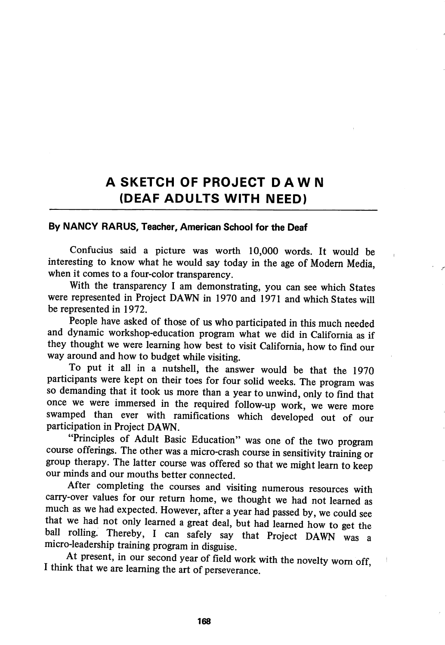## A SKETCH OF PROJECT DAWN (DEAF ADULTS WITH NEED)

## By NANCY RARUS, Teacher, American School for the Deaf

Confucius said a picture was worth 10,000 words. It would be interesting to know what he would say today in the age of Modem Media, when it comes to a four-color transparency.

With the transparency I am demonstrating, you can see which States were represented in Project DAWN in 1970 and 1971 and which States will be represented in 1972.

People have asked of those of us who participated in this much needed and dynamic workshop-education program what we did in California as if they thought we were leaming how best to visit Califomia, how to find our way around and how to budget while visiting.

To put it all in a nutshell, the answer would be that the 1970 participants were kept on their toes for four solid weeks. The program was so demanding that it took us more than a year to unwind, only to find that once we were immersed in the required follow-up work, we were more swamped than ever with ramifications which developed out of our participation in Project DAWN.

"Principles of Adult Basic Education" was one of the two program course offerings. The other was a micro-crash course in sensitivity training or group therapy. The latter course was offered so that we might leam to keep our minds and our mouths better connected.

After completing the courses and visiting numerous resources with carry-over values for our return home, we thought we had not learned as much as we had expected. However, after a year had passed by, we could see that we had not only learned a great deal, but had learned how to get the ball rolling. Thereby, I can safely say that Project DAWN was a micro-leadership training program in disguise.

At present, in our second year of field work with the novelty worn off I think that we are leaming the art of perseverance.